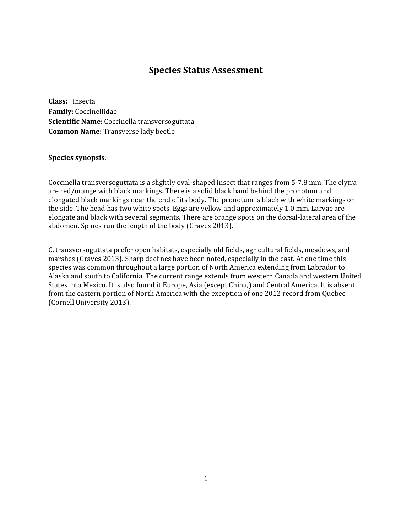# **Species Status Assessment**

**Class:** Insecta **Family:** Coccinellidae **Scientific Name:** Coccinella transversoguttata **Common Name:** Transverse lady beetle

#### **Species synopsis**:

Coccinella transversoguttata is a slightly oval-shaped insect that ranges from 5-7.8 mm. The elytra are red/orange with black markings. There is a solid black band behind the pronotum and elongated black markings near the end of its body. The pronotum is black with white markings on the side. The head has two white spots. Eggs are yellow and approximately 1.0 mm. Larvae are elongate and black with several segments. There are orange spots on the dorsal-lateral area of the abdomen. Spines run the length of the body (Graves 2013).

C. transversoguttata prefer open habitats, especially old fields, agricultural fields, meadows, and marshes (Graves 2013). Sharp declines have been noted, especially in the east. At one time this species was common throughout a large portion of North America extending from Labrador to Alaska and south to California. The current range extends from western Canada and western United States into Mexico. It is also found it Europe, Asia (except China,) and Central America. It is absent from the eastern portion of North America with the exception of one 2012 record from Quebec (Cornell University 2013).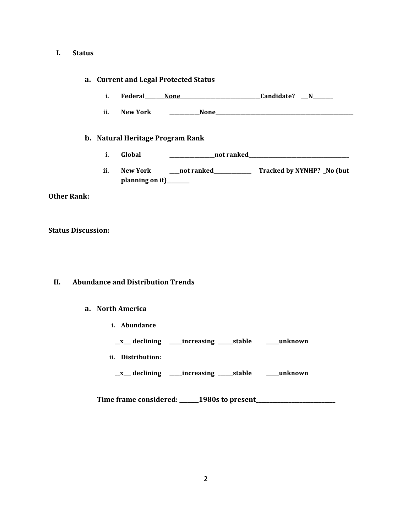### **I. Status**

#### **a. Current and Legal Protected Status**

- **i. Federal\_\_\_\_\_ None** \_\_\_\_\_\_\_\_\_\_\_\_\_\_\_\_\_\_\_\_\_\_\_\_\_\_Candidate? \_\_N\_\_\_\_\_\_\_
- **ii. New York \_\_\_\_\_\_\_\_\_\_\_\_None\_\_\_\_\_\_\_\_\_\_\_\_\_\_\_\_\_\_\_\_\_\_\_\_\_\_\_\_\_\_\_\_\_\_\_\_\_\_\_\_\_\_\_\_\_\_\_\_\_\_\_\_\_\_\_**

### **b. Natural Heritage Program Rank**

- **i. Global \_\_\_\_\_\_\_\_\_\_\_\_\_\_\_\_\_\_not ranked\_\_\_\_\_\_\_\_\_\_\_\_\_\_\_\_\_\_\_\_\_\_\_\_\_\_\_\_\_\_\_\_\_\_\_\_\_\_\_\_**
- **ii. New York \_\_\_\_not ranked\_\_\_\_\_\_\_\_\_\_\_\_\_\_\_ Tracked by NYNHP? \_No (but planning on it)\_\_\_\_\_\_\_\_\_**

**Other Rank:**

**Status Discussion:**

### **II. Abundance and Distribution Trends**

#### **a. North America**

**i. Abundance**

**\_\_x\_\_\_ declining \_\_\_\_\_increasing \_\_\_\_\_\_stable \_\_\_\_\_unknown**

- **ii. Distribution:**
	- **\_\_x\_\_\_ declining \_\_\_\_\_increasing \_\_\_\_\_\_stable \_\_\_\_\_unknown**

**Time frame considered: \_\_\_\_\_\_\_1980s to present\_\_\_\_\_\_\_\_\_\_\_\_\_\_\_\_\_\_\_\_\_\_\_\_\_\_\_\_\_**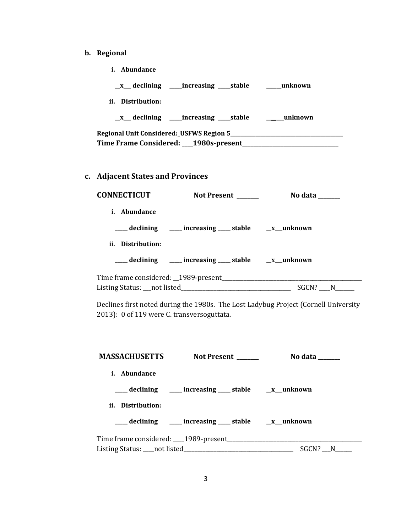- **b. Regional**
	- **i. Abundance**

**\_\_x\_\_\_ declining \_\_\_\_\_increasing \_\_\_\_\_stable \_\_\_\_\_\_unknown**

**ii. Distribution:**

**\_\_x\_\_\_ declining \_\_\_\_\_increasing \_\_\_\_\_stable \_\_\_\_\_\_\_unknown**

| <b>Regional Unit Considered: USFWS Region 5</b> |  |
|-------------------------------------------------|--|
| Time Frame Considered: ___ 1980s-present        |  |

# **c. Adjacent States and Provinces**

| CONNECTICUT                                                | <b>Not Present</b> | No data |  |
|------------------------------------------------------------|--------------------|---------|--|
| i. Abundance                                               |                    |         |  |
| ____ declining _____ increasing ____ stable ___ x__unknown |                    |         |  |
| ii. Distribution:                                          |                    |         |  |
| declining _____ increasing _____ stable ______ x___unknown |                    |         |  |
|                                                            |                    |         |  |
| Listing Status: __not listed___                            |                    | SGCN? N |  |

Declines first noted during the 1980s. The Lost Ladybug Project (Cornell University 2013): 0 of 119 were C. transversoguttata.

| <b>MASSACHUSETTS</b> | <b>Not Present</b>                                       | No data ______ |
|----------------------|----------------------------------------------------------|----------------|
| <i>i.</i> Abundance  |                                                          |                |
|                      | ___ declining ___ increasing ___ stable __ x_unknown     |                |
| ii. Distribution:    |                                                          |                |
|                      | ___ declining ____ increasing ____ stable ___ x__unknown |                |
|                      |                                                          |                |
|                      |                                                          | $SGCN?$ $N$    |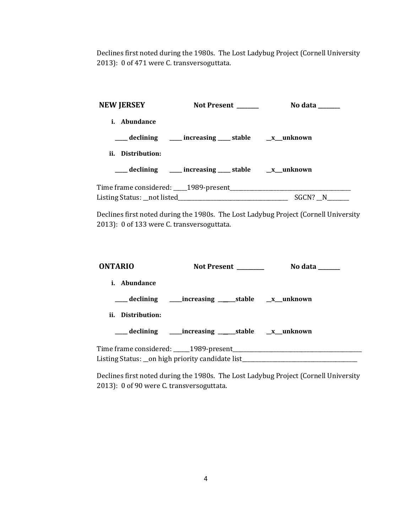Declines first noted during the 1980s. The Lost Ladybug Project (Cornell University 2013): 0 of 471 were C. transversoguttata.

| <b>NEW JERSEY</b>   | Not Present                                               | No data ______ |
|---------------------|-----------------------------------------------------------|----------------|
| <i>i.</i> Abundance |                                                           |                |
|                     | ____ declining ____ increasing ____ stable ___ x__unknown |                |
| ii. Distribution:   |                                                           |                |
|                     | ___ declining ___ increasing ___ stable __ x_unknown      |                |
|                     |                                                           |                |
|                     |                                                           | SGCN? N        |

Declines first noted during the 1980s. The Lost Ladybug Project (Cornell University 2013): 0 of 133 were C. transversoguttata.

| <b>ONTARIO</b>      | <b>Not Present</b>                                            | No data ______ |
|---------------------|---------------------------------------------------------------|----------------|
| <i>i.</i> Abundance |                                                               |                |
|                     | ___ declining _____ increasing ______ stable ___ x___ unknown |                |
| ii. Distribution:   |                                                               |                |
|                     | ___ declining _____ increasing ______ stable ___ x___ unknown |                |
|                     |                                                               |                |
|                     | Listing Status: _on high priority candidate list_             |                |

Declines first noted during the 1980s. The Lost Ladybug Project (Cornell University 2013): 0 of 90 were C. transversoguttata.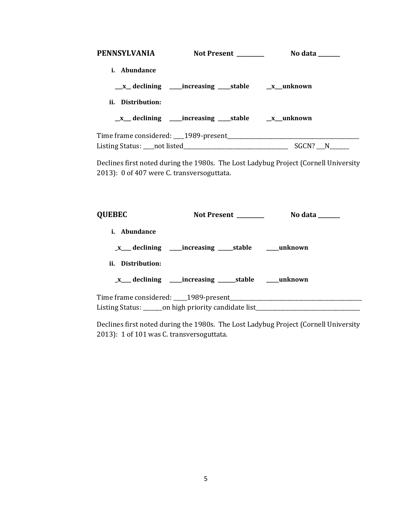| PENNSYLVANIA        | Not Present                                 | No data   |  |
|---------------------|---------------------------------------------|-----------|--|
| <i>i.</i> Abundance |                                             |           |  |
|                     | $x$ declining increasing stable $x$ unknown |           |  |
| ii. Distribution:   |                                             |           |  |
|                     | $x$ declining increasing stable $x$ unknown |           |  |
|                     |                                             |           |  |
|                     |                                             | $SGCN?$ N |  |

Declines first noted during the 1980s. The Lost Ladybug Project (Cornell University 2013): 0 of 407 were C. transversoguttata.

| <b>QUEBEC</b>       | Not Present _______                                               | No data $\_\_\_\_\_\_\_\_\_\_\_\$                                                |
|---------------------|-------------------------------------------------------------------|----------------------------------------------------------------------------------|
| <i>i.</i> Abundance |                                                                   |                                                                                  |
|                     | _x___ declining ______ increasing _______ stable ________ unknown |                                                                                  |
| ii. Distribution:   |                                                                   |                                                                                  |
|                     | _x___ declining _____increasing ______stable _____unknown         |                                                                                  |
|                     |                                                                   | Listing Status: ______on high priority candidate list___________________________ |

Declines first noted during the 1980s. The Lost Ladybug Project (Cornell University 2013): 1 of 101 was C. transversoguttata.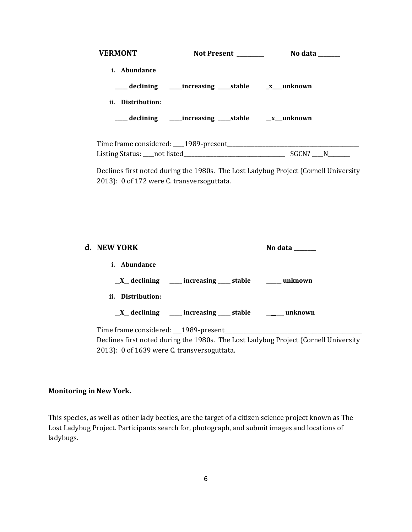| <b>VERMONT</b>      | Not Present                                                                      | No data ______ |
|---------------------|----------------------------------------------------------------------------------|----------------|
| <i>i.</i> Abundance |                                                                                  |                |
|                     | ____ declining _______increasing ______stable __________________________________ |                |
| ii. Distribution:   |                                                                                  |                |
|                     |                                                                                  |                |
|                     |                                                                                  |                |

Listing Status: \_\_\_\_not listed\_\_\_\_\_\_\_\_\_\_\_\_\_\_\_\_\_\_\_\_\_\_\_\_\_\_\_\_\_\_\_\_\_\_\_\_\_ SGCN? \_\_\_\_N\_\_\_\_\_\_\_\_

Declines first noted during the 1980s. The Lost Ladybug Project (Cornell University 2013): 0 of 172 were C. transversoguttata.

| d. NEW YORK                                                     | No data ______ |
|-----------------------------------------------------------------|----------------|
| <i>i.</i> Abundance                                             |                |
| $X$ declining ______ increasing ______ stable _________ unknown |                |
| ii. Distribution:                                               |                |
| $X$ declining _____ increasing _____ stable ______ unknown      |                |
|                                                                 |                |

Declines first noted during the 1980s. The Lost Ladybug Project (Cornell University 2013): 0 of 1639 were C. transversoguttata.

### **Monitoring in New York.**

This species, as well as other lady beetles, are the target of a citizen science project known as The Lost Ladybug Project. Participants search for, photograph, and submit images and locations of ladybugs.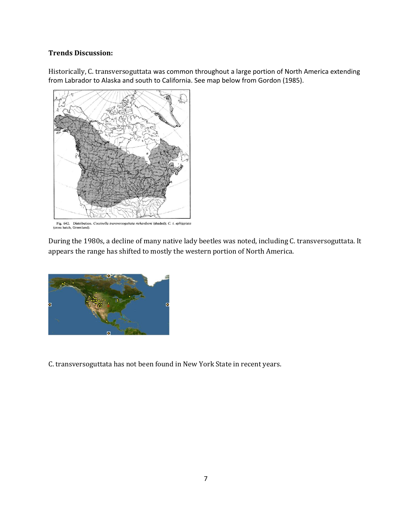### **Trends Discussion:**

Historically, C. transversoguttata was common throughout a large portion of North America extending from Labrador to Alaska and south to California. See map below from Gordon (1985).



Fig. 642. Distribution. Coccinella transverso<br/>guttata richardsoni (shaded); C. t. ephippiata (cross hatch, Greenland).

During the 1980s, a decline of many native lady beetles was noted, including C. transversoguttata. It appears the range has shifted to mostly the western portion of North America.



C. transversoguttata has not been found in New York State in recent years.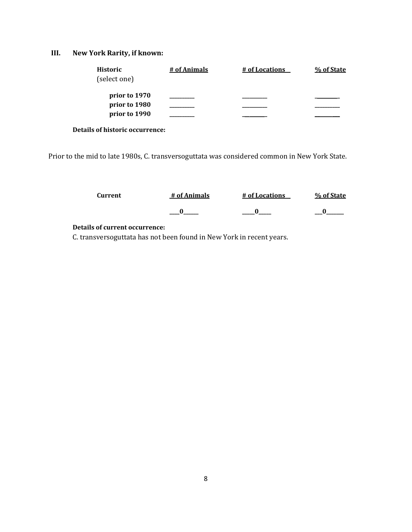# **III. New York Rarity, if known:**

| <b>Historic</b><br>(select one) | # of Animals | # of Locations | % of State |
|---------------------------------|--------------|----------------|------------|
| prior to 1970                   |              |                |            |
| prior to 1980                   |              |                |            |
| prior to 1990                   |              |                |            |

**Details of historic occurrence:**

Prior to the mid to late 1980s, C. transversoguttata was considered common in New York State.

| Current | # of Animals | # of Locations | % of State |
|---------|--------------|----------------|------------|
|         |              |                |            |

### **Details of current occurrence:**

C. transversoguttata has not been found in New York in recent years.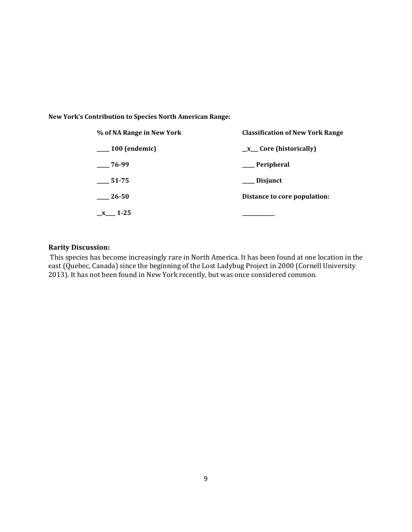**New York's Contribution to Species North American Range:**

| % of NA Range in New York | <b>Classification of New York Range</b> |
|---------------------------|-----------------------------------------|
| $-100$ (endemic)          | $\mathbf{x}$ Core (historically)        |
| 76-99                     | ___ Peripheral                          |
| 51-75                     | ___ Disjunct                            |
| 26-50                     | Distance to core population:            |
| - 1-25                    |                                         |

### **Rarity Discussion:**

This species has become increasingly rare in North America. It has been found at one location in the east (Quebec, Canada) since the beginning of the Lost Ladybug Project in 2000 (Cornell University 2013). It has not been found in New York recently, but was once considered common.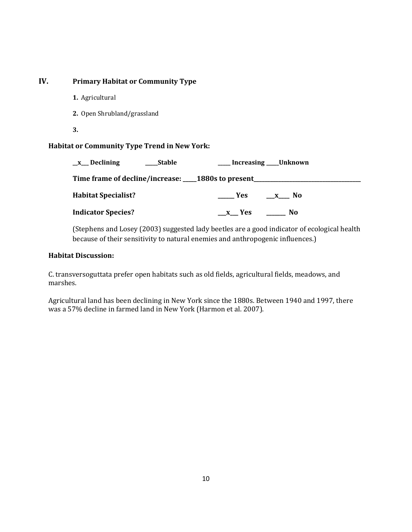# **IV. Primary Habitat or Community Type**

- **1.** Agricultural
- **2.** Open Shrubland/grassland
- **3.**

## **Habitat or Community Type Trend in New York:**

| $\mathbf{x}$ Declining<br><b>Stable</b>                            |                     | ___ Increasing ___ Unknown |
|--------------------------------------------------------------------|---------------------|----------------------------|
| Time frame of decline/increase: ____1880s to present______________ |                     |                            |
| <b>Habitat Specialist?</b>                                         | <b>Solution Yes</b> | $X \tN0$                   |
| <b>Indicator Species?</b>                                          | x Yes               | <b>No.</b>                 |

(Stephens and Losey (2003) suggested lady beetles are a good indicator of ecological health because of their sensitivity to natural enemies and anthropogenic influences.)

### **Habitat Discussion:**

C. transversoguttata prefer open habitats such as old fields, agricultural fields, meadows, and marshes.

Agricultural land has been declining in New York since the 1880s. Between 1940 and 1997, there was a 57% decline in farmed land in New York (Harmon et al. 2007).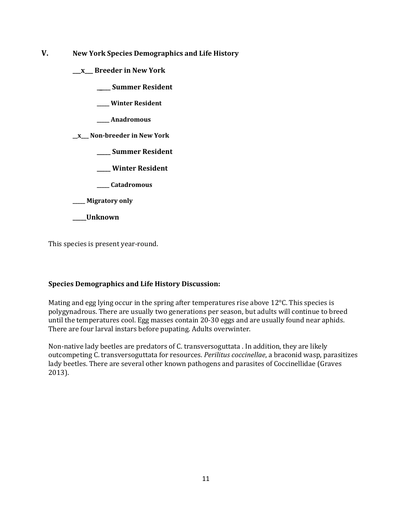- **V. New York Species Demographics and Life History**
	- **\_\_\_x\_\_\_ Breeder in New York**
		- **\_\_\_\_\_ Summer Resident**
		- **\_\_\_\_\_ Winter Resident**
		- **\_\_\_\_\_ Anadromous**

**\_\_x\_\_\_ Non-breeder in New York**

- **\_\_\_\_\_ Summer Resident**
- **\_\_\_\_\_ Winter Resident**
- **\_\_\_\_\_ Catadromous**

**\_\_\_\_\_ Migratory only**

**\_\_\_\_\_Unknown**

This species is present year-round.

## **Species Demographics and Life History Discussion:**

Mating and egg lying occur in the spring after temperatures rise above 12°C. This species is polygynadrous. There are usually two generations per season, but adults will continue to breed until the temperatures cool. Egg masses contain 20-30 eggs and are usually found near aphids. There are four larval instars before pupating. Adults overwinter.

Non-native lady beetles are predators of C. transversoguttata . In addition, they are likely outcompeting C. transversoguttata for resources. *Perilitus coccinellae*, a braconid wasp, parasitizes lady beetles. There are several other known pathogens and parasites of Coccinellidae (Graves 2013).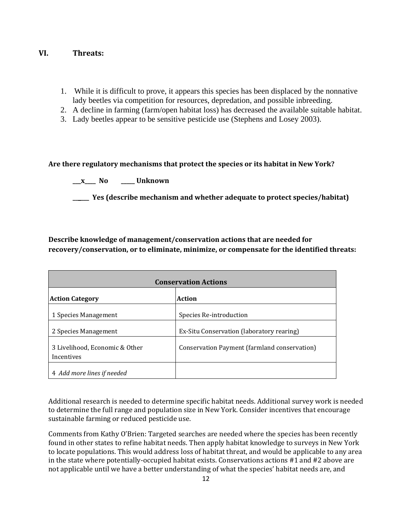## **VI. Threats:**

- 1. While it is difficult to prove, it appears this species has been displaced by the nonnative lady beetles via competition for resources, depredation, and possible inbreeding.
- 2. A decline in farming (farm/open habitat loss) has decreased the available suitable habitat.
- 3. Lady beetles appear to be sensitive pesticide use (Stephens and Losey 2003).

**Are there regulatory mechanisms that protect the species or its habitat in New York?**

**\_\_\_x\_\_\_\_ No \_\_\_\_\_ Unknown**

**\_\_\_\_\_\_ Yes (describe mechanism and whether adequate to protect species/habitat)**

**Describe knowledge of management/conservation actions that are needed for recovery/conservation, or to eliminate, minimize, or compensate for the identified threats:**

| <b>Conservation Actions</b>                  |                                              |  |
|----------------------------------------------|----------------------------------------------|--|
| <b>Action Category</b>                       | <b>Action</b>                                |  |
| 1 Species Management                         | Species Re-introduction                      |  |
| 2 Species Management                         | Ex-Situ Conservation (laboratory rearing)    |  |
| 3 Livelihood, Economic & Other<br>Incentives | Conservation Payment (farmland conservation) |  |
| 4 Add more lines if needed                   |                                              |  |

Additional research is needed to determine specific habitat needs. Additional survey work is needed to determine the full range and population size in New York. Consider incentives that encourage sustainable farming or reduced pesticide use.

Comments from Kathy O'Brien: Targeted searches are needed where the species has been recently found in other states to refine habitat needs. Then apply habitat knowledge to surveys in New York to locate populations. This would address loss of habitat threat, and would be applicable to any area in the state where potentially-occupied habitat exists. Conservations actions #1 and #2 above are not applicable until we have a better understanding of what the species' habitat needs are, and